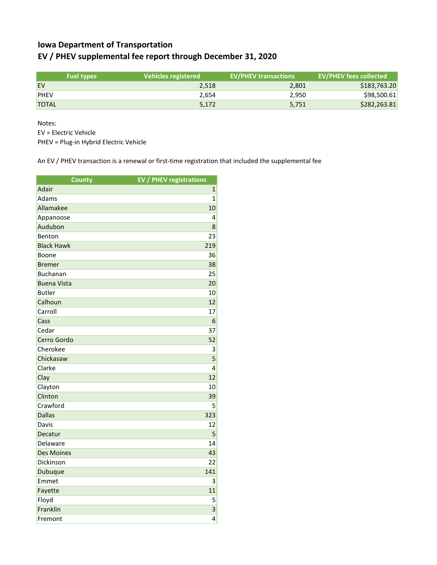## **Iowa Department of Transportation EV / PHEV supplemental fee report through December 31, 2020**

|              | <b>Fuel types</b> | Vehicles registered | <b>EV/PHEV transactions</b> | <b>EV/PHEV fees collected</b> |
|--------------|-------------------|---------------------|-----------------------------|-------------------------------|
| <b>EV</b>    |                   | 2.518               | 2,801                       | \$183,763.20                  |
| <b>PHEV</b>  |                   | 2.654               | 2.950                       | \$98,500.61                   |
| <b>TOTAL</b> |                   | 5,172               | 5,751                       | \$282,263.81                  |

Notes:

EV = Electric Vehicle

PHEV = Plug-in Hybrid Electric Vehicle

An EV / PHEV transaction is a renewal or first-time registration that included the supplemental fee

| <b>County</b>      | <b>EV / PHEV registrations</b> |
|--------------------|--------------------------------|
| Adair              | $\mathbf{1}$                   |
| Adams              | $\mathbf{1}$                   |
| Allamakee          | 10                             |
| Appanoose          | 4                              |
| Audubon            | 8                              |
| Benton             | 23                             |
| <b>Black Hawk</b>  | 219                            |
| Boone              | 36                             |
| <b>Bremer</b>      | 38                             |
| <b>Buchanan</b>    | 25                             |
| <b>Buena Vista</b> | 20                             |
| <b>Butler</b>      | 10                             |
| Calhoun            | 12                             |
| Carroll            | 17                             |
| Cass               | 6                              |
| Cedar              | 37                             |
| Cerro Gordo        | 52                             |
| Cherokee           | 3                              |
| Chickasaw          | 5                              |
| Clarke             | 4                              |
| Clay               | 12                             |
| Clayton            | 10                             |
| Clinton            | 39                             |
| Crawford           | 5                              |
| <b>Dallas</b>      | 323                            |
| Davis              | 12                             |
| Decatur            | 5                              |
| Delaware           | 14                             |
| <b>Des Moines</b>  | 43                             |
| Dickinson          | 22                             |
| Dubuque            | 141                            |
| Emmet              | 3                              |
| Fayette            | 11                             |
| Floyd              | 5                              |
| Franklin           | 3                              |
| Fremont            | 4                              |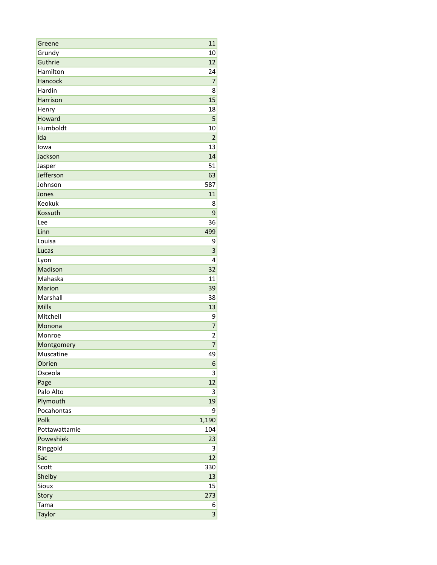| Greene        | 11             |
|---------------|----------------|
| Grundy        | 10             |
| Guthrie       | 12             |
| Hamilton      | 24             |
| Hancock       | $\overline{7}$ |
| Hardin        | 8              |
| Harrison      | 15             |
| Henry         | 18             |
| Howard        | 5              |
| Humboldt      | 10             |
| Ida           | $\overline{2}$ |
| lowa          | 13             |
| Jackson       | 14             |
| Jasper        | 51             |
| Jefferson     | 63             |
| Johnson       | 587            |
| Jones         | 11             |
| Keokuk        | 8              |
| Kossuth       | 9              |
| Lee           | 36             |
| Linn          | 499            |
| Louisa        | 9              |
| Lucas         | 3              |
| Lyon          | 4              |
| Madison       | 32             |
| Mahaska       | 11             |
| Marion        | 39             |
| Marshall      | 38             |
| <b>Mills</b>  | 13             |
| Mitchell      | 9              |
| Monona        | 7              |
| Monroe        | $\overline{2}$ |
| Montgomery    | $\overline{7}$ |
| Muscatine     | 49             |
| Obrien        | 6              |
| Osceola       | 3              |
| Page          | 12             |
| Palo Alto     | 3              |
| Plymouth      | 19             |
| Pocahontas    | 9              |
| Polk          | 1,190          |
| Pottawattamie | 104            |
| Poweshiek     | 23             |
| Ringgold      | 3              |
| Sac           | 12             |
| Scott         | 330            |
| Shelby        | 13             |
| Sioux         | 15             |
| Story         | 273            |
| Tama          | 6              |
| Taylor        | 3              |